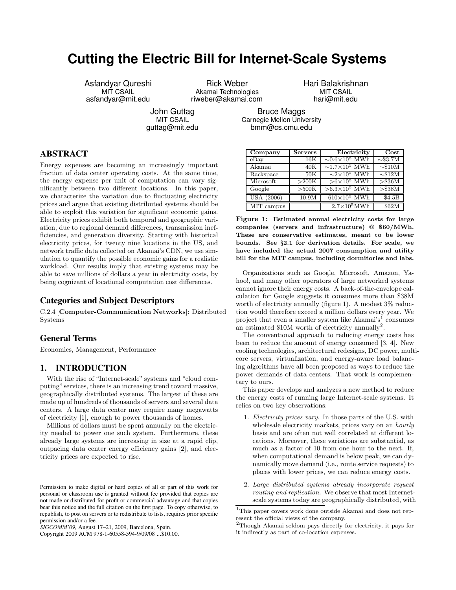# **Cutting the Electric Bill for Internet-Scale Systems**

Asfandyar Qureshi MIT CSAIL asfandyar@mit.edu

Rick Weber Akamai Technologies riweber@akamai.com

John Guttag MIT CSAIL guttag@mit.edu

hari@mit.edu Bruce Maggs Carnegie Mellon University bmm@cs.cmu.edu

# **ABSTRACT**

Energy expenses are becoming an increasingly important fraction of data center operating costs. At the same time, the energy expense per unit of computation can vary significantly between two different locations. In this paper, we characterize the variation due to fluctuating electricity prices and argue that existing distributed systems should be able to exploit this variation for significant economic gains. Electricity prices exhibit both temporal and geographic variation, due to regional demand differences, transmission inefficiencies, and generation diversity. Starting with historical electricity prices, for twenty nine locations in the US, and network traffic data collected on Akamai's CDN, we use simulation to quantify the possible economic gains for a realistic workload. Our results imply that existing systems may be able to save millions of dollars a year in electricity costs, by being cognizant of locational computation cost differences.

# **Categories and Subject Descriptors**

C.2.4 [Computer-Communication Networks]: Distributed Systems

## **General Terms**

Economics, Management, Performance

# **1. INTRODUCTION**

With the rise of "Internet-scale" systems and "cloud computing" services, there is an increasing trend toward massive, geographically distributed systems. The largest of these are made up of hundreds of thousands of servers and several data centers. A large data center may require many megawatts of electricity [1], enough to power thousands of homes.

Millions of dollars must be spent annually on the electricity needed to power one such system. Furthermore, these already large systems are increasing in size at a rapid clip, outpacing data center energy efficiency gains [2], and electricity prices are expected to rise.

| Company    | <b>Servers</b> | Electricity                    | Cost          |
|------------|----------------|--------------------------------|---------------|
| $e$ Bay    | 16K            | $\sim 0.6 \times 10^5$ MWh     | $\sim$ \$3.7M |
| Akamai     | 40K            | $\sim$ 1.7×10 <sup>5</sup> MWh | $\sim$ \$10M  |
| Rackspace  | 50K            | $\sim$ 2×10 <sup>5</sup> MWh   | $\sim 12M$    |
| Microsoft  | >200K          | $>6\times10^5$ MWh             | > \$36M       |
| Google     | >500K          | $>6.3\times10^5$ MWh           | $>\$38M$      |
| USA (2006) | 10.9M          | $610\times10^5$ MWh            | \$4.5B        |
| MIT campus |                | $2.7\times10^5$ MWh            | \$62M         |

Hari Balakrishnan MIT CSAIL

Figure 1: Estimated annual electricity costs for large companies (servers and infrastructure) @ \$60/MWh. These are conservative estimates, meant to be lower bounds. See §2.1 for derivation details. For scale, we have included the actual 2007 consumption and utility bill for the MIT campus, including dormitories and labs.

Organizations such as Google, Microsoft, Amazon, Yahoo!, and many other operators of large networked systems cannot ignore their energy costs. A back-of-the-envelope calculation for Google suggests it consumes more than \$38M worth of electricity annually (figure 1). A modest 3% reduction would therefore exceed a million dollars every year. We project that even a smaller system like Akamai's<sup>1</sup> consumes an estimated \$10M worth of electricity annually<sup>2</sup>.

The conventional approach to reducing energy costs has been to reduce the amount of energy consumed [3, 4]. New cooling technologies, architectural redesigns, DC power, multicore servers, virtualization, and energy-aware load balancing algorithms have all been proposed as ways to reduce the power demands of data centers. That work is complementary to ours.

This paper develops and analyzes a new method to reduce the energy costs of running large Internet-scale systems. It relies on two key observations:

- 1. Electricity prices vary. In those parts of the U.S. with wholesale electricity markets, prices vary on an *hourly* basis and are often not well correlated at different locations. Moreover, these variations are substantial, as much as a factor of 10 from one hour to the next. If, when computational demand is below peak, we can dynamically move demand (i.e., route service requests) to places with lower prices, we can reduce energy costs.
- 2. Large distributed systems already incorporate request routing and replication. We observe that most Internetscale systems today are geographically distributed, with

Permission to make digital or hard copies of all or part of this work for personal or classroom use is granted without fee provided that copies are not made or distributed for profit or commercial advantage and that copies bear this notice and the full citation on the first page. To copy otherwise, to republish, to post on servers or to redistribute to lists, requires prior specific permission and/or a fee.

*SIGCOMM'09,* August 17–21, 2009, Barcelona, Spain.

Copyright 2009 ACM 978-1-60558-594-9/09/08 ...\$10.00.

 $\rm ^1This$  paper covers work done outside Akamai and does not represent the official views of the company.

<sup>2</sup>Though Akamai seldom pays directly for electricity, it pays for it indirectly as part of co-location expenses.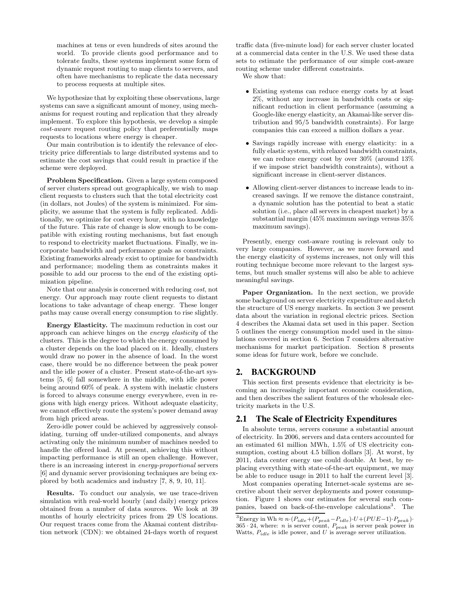machines at tens or even hundreds of sites around the world. To provide clients good performance and to tolerate faults, these systems implement some form of dynamic request routing to map clients to servers, and often have mechanisms to replicate the data necessary to process requests at multiple sites.

We hypothesize that by exploiting these observations, large systems can save a significant amount of money, using mechanisms for request routing and replication that they already implement. To explore this hypothesis, we develop a simple cost-aware request routing policy that preferentially maps requests to locations where energy is cheaper.

Our main contribution is to identify the relevance of electricity price differentials to large distributed systems and to estimate the cost savings that could result in practice if the scheme were deployed.

Problem Specification. Given a large system composed of server clusters spread out geographically, we wish to map client requests to clusters such that the total electricity cost (in dollars, not Joules) of the system is minimized. For simplicity, we assume that the system is fully replicated. Additionally, we optimize for cost every hour, with no knowledge of the future. This rate of change is slow enough to be compatible with existing routing mechanisms, but fast enough to respond to electricity market fluctuations. Finally, we incorporate bandwidth and performance goals as constraints. Existing frameworks already exist to optimize for bandwidth and performance; modeling them as constraints makes it possible to add our process to the end of the existing optimization pipeline.

Note that our analysis is concerned with reducing cost, not energy. Our approach may route client requests to distant locations to take advantage of cheap energy. These longer paths may cause overall energy consumption to rise slightly.

Energy Elasticity. The maximum reduction in cost our approach can achieve hinges on the energy elasticity of the clusters. This is the degree to which the energy consumed by a cluster depends on the load placed on it. Ideally, clusters would draw no power in the absence of load. In the worst case, there would be no difference between the peak power and the idle power of a cluster. Present state-of-the-art systems [5, 6] fall somewhere in the middle, with idle power being around 60% of peak. A system with inelastic clusters is forced to always consume energy everywhere, even in regions with high energy prices. Without adequate elasticity, we cannot effectively route the system's power demand away from high priced areas.

Zero-idle power could be achieved by aggressively consolidating, turning off under-utilized components, and always activating only the minimum number of machines needed to handle the offered load. At present, achieving this without impacting performance is still an open challenge. However, there is an increasing interest in energy-proportional servers [6] and dynamic server provisioning techniques are being explored by both academics and industry [7, 8, 9, 10, 11].

Results. To conduct our analysis, we use trace-driven simulation with real-world hourly (and daily) energy prices obtained from a number of data sources. We look at 39 months of hourly electricity prices from 29 US locations. Our request traces come from the Akamai content distribution network (CDN): we obtained 24-days worth of request traffic data (five-minute load) for each server cluster located at a commercial data center in the U.S. We used these data sets to estimate the performance of our simple cost-aware routing scheme under different constraints.

We show that:

- Existing systems can reduce energy costs by at least 2%, without any increase in bandwidth costs or significant reduction in client performance (assuming a Google-like energy elasticity, an Akamai-like server distribution and 95/5 bandwidth constraints). For large companies this can exceed a million dollars a year.
- Savings rapidly increase with energy elasticity: in a fully elastic system, with relaxed bandwidth constraints, we can reduce energy cost by over 30% (around 13% if we impose strict bandwidth constraints), without a significant increase in client-server distances.
- Allowing client-server distances to increase leads to increased savings. If we remove the distance constraint, a dynamic solution has the potential to beat a static solution (i.e., place all servers in cheapest market) by a substantial margin (45% maximum savings versus 35% maximum savings).

Presently, energy cost-aware routing is relevant only to very large companies. However, as we move forward and the energy elasticity of systems increases, not only will this routing technique become more relevant to the largest systems, but much smaller systems will also be able to achieve meaningful savings.

Paper Organization. In the next section, we provide some background on server electricity expenditure and sketch the structure of US energy markets. In section 3 we present data about the variation in regional electric prices. Section 4 describes the Akamai data set used in this paper. Section 5 outlines the energy consumption model used in the simulations covered in section 6. Section 7 considers alternative mechanisms for market participation. Section 8 presents some ideas for future work, before we conclude.

# **2. BACKGROUND**

This section first presents evidence that electricity is becoming an increasingly important economic consideration, and then describes the salient features of the wholesale electricity markets in the U.S.

#### **2.1 The Scale of Electricity Expenditures**

In absolute terms, servers consume a substantial amount of electricity. In 2006, servers and data centers accounted for an estimated 61 million MWh, 1.5% of US electricity consumption, costing about 4.5 billion dollars [3]. At worst, by 2011, data center energy use could double. At best, by replacing everything with state-of-the-art equipment, we may be able to reduce usage in 2011 to half the current level [3].

Most companies operating Internet-scale systems are secretive about their server deployments and power consumption. Figure 1 shows our estimates for several such companies, based on back-of-the-envelope calculations<sup>3</sup>. The

 $^3$  Energy in Wh $\approx n\cdot(P_{idle}+(P_{peak}-P_{idle})\cdot U+(PUE-1)\cdot P_{peak})$  $365 \cdot 24$ , where: n is server count,  $P_{peak}$  is server peak power in Watts,  $P_{idle}$  is idle power, and U is average server utilization.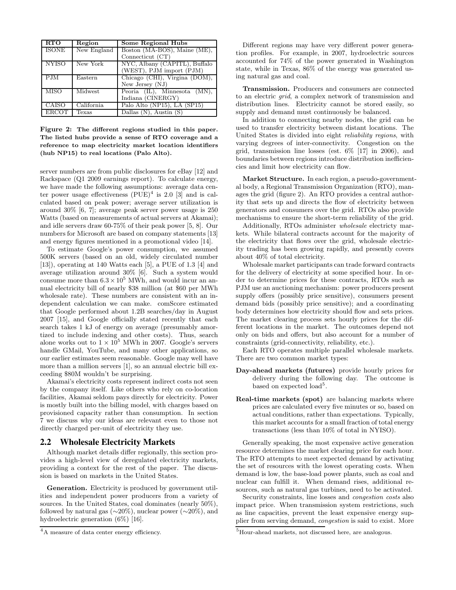| $_{\rm RTO}$ | Region      | Some Regional Hubs            |
|--------------|-------------|-------------------------------|
| ISONE        | New England | Boston (MA-BOS), Maine (ME),  |
|              |             | Connecticut (CT)              |
| <b>NYISO</b> | New York    | NYC, Albany (CAPITL), Buffalo |
|              |             | (WEST), PJM import (PJM)      |
| P.JM         | Eastern     | Chicago (CHI), Virgina (DOM), |
|              |             | New Jersey (NJ)               |
| <b>MISO</b>  | Midwest     | Peoria (IL), Minnesota (MN).  |
|              |             | Indiana (CINERGY)             |
| CAISO        | California  | Palo Alto (NP15), LA (SP15)   |
| ERCOT        | Texas       | Dallas $(N)$ , Austin $(S)$   |

Figure 2: The different regions studied in this paper. The listed hubs provide a sense of RTO coverage and a reference to map electricity market location identifiers (hub NP15) to real locations (Palo Alto).

server numbers are from public disclosures for eBay [12] and Rackspace (Q1 2009 earnings report). To calculate energy, we have made the following assumptions: average data center power usage effectiveness  $(PUE)^4$  is 2.0 [3] and is calculated based on peak power; average server utilization is around 30% [6, 7]; average peak server power usage is 250 Watts (based on measurements of actual servers at Akamai); and idle servers draw 60-75% of their peak power [5, 8]. Our numbers for Microsoft are based on company statements [13] and energy figures mentioned in a promotional video [14].

To estimate Google's power consumption, we assumed 500K servers (based on an old, widely circulated number [13]), operating at 140 Watts each [5], a PUE of 1.3 [4] and average utilization around 30% [6]. Such a system would consume more than  $6.3 \times 10^5$  MWh, and would incur an annual electricity bill of nearly \$38 million (at \$60 per MWh wholesale rate). These numbers are consistent with an independent calculation we can make. comScore estimated that Google performed about 1.2B searches/day in August 2007 [15], and Google officially stated recently that each search takes 1 kJ of energy on average (presumably amortized to include indexing and other costs). Thus, search alone works out to  $1 \times 10^5$  MWh in 2007. Google's servers handle GMail, YouTube, and many other applications, so our earlier estimates seem reasonable. Google may well have more than a million servers [1], so an annual electric bill exceeding \$80M wouldn't be surprising.

Akamai's electricity costs represent indirect costs not seen by the company itself. Like others who rely on co-location facilities, Akamai seldom pays directly for electricity. Power is mostly built into the billing model, with charges based on provisioned capacity rather than consumption. In section 7 we discuss why our ideas are relevant even to those not directly charged per-unit of electricity they use.

#### **2.2 Wholesale Electricity Markets**

Although market details differ regionally, this section provides a high-level view of deregulated electricity markets, providing a context for the rest of the paper. The discussion is based on markets in the United States.

Generation. Electricity is produced by government utilities and independent power producers from a variety of sources. In the United States, coal dominates (nearly 50%), followed by natural gas ( $\sim$ 20%), nuclear power ( $\sim$ 20%), and hydroelectric generation (6%) [16].

Different regions may have very different power generation profiles. For example, in 2007, hydroelectric sources accounted for 74% of the power generated in Washington state, while in Texas, 86% of the energy was generated using natural gas and coal.

Transmission. Producers and consumers are connected to an electric grid, a complex network of transmission and distribution lines. Electricity cannot be stored easily, so supply and demand must continuously be balanced.

In addition to connecting nearby nodes, the grid can be used to transfer electricity between distant locations. The United States is divided into eight reliability regions, with varying degrees of inter-connectivity. Congestion on the grid, transmission line losses (est. 6% [17] in 2006), and boundaries between regions introduce distribution inefficiencies and limit how electricity can flow.

Market Structure. In each region, a pseudo-governmental body, a Regional Transmission Organization (RTO), manages the grid (figure 2). An RTO provides a central authority that sets up and directs the flow of electricity between generators and consumers over the grid. RTOs also provide mechanisms to ensure the short-term reliability of the grid.

Additionally, RTOs administer wholesale electricty markets. While bilateral contracts account for the majority of the electricity that flows over the grid, wholesale electricity trading has been growing rapidly, and presently covers about 40% of total electricity.

Wholesale market participants can trade forward contracts for the delivery of electricity at some specified hour. In order to determine prices for these contracts, RTOs such as PJM use an auctioning mechanism: power producers present supply offers (possibly price sensitive), consumers present demand bids (possibly price sensitive); and a coordinating body determines how electricity should flow and sets prices. The market clearing process sets hourly prices for the different locations in the market. The outcomes depend not only on bids and offers, but also account for a number of constraints (grid-connectivity, reliability, etc.).

Each RTO operates multiple parallel wholesale markets. There are two common market types:

- Day-ahead markets (futures) provide hourly prices for delivery during the following day. The outcome is based on expected load<sup>5</sup>.
- Real-time markets (spot) are balancing markets where prices are calculated every five minutes or so, based on actual conditions, rather than expectations. Typically, this market accounts for a small fraction of total energy transactions (less than 10% of total in NYISO).

Generally speaking, the most expensive active generation resource determines the market clearing price for each hour. The RTO attempts to meet expected demand by activating the set of resources with the lowest operating costs. When demand is low, the base-load power plants, such as coal and nuclear can fulfill it. When demand rises, additional resources, such as natural gas turbines, need to be activated.

Security constraints, line losses and *congestion costs* also impact price. When transmission system restrictions, such as line capacities, prevent the least expensive energy supplier from serving demand, congestion is said to exist. More

<sup>4</sup>A measure of data center energy efficiency.

<sup>5</sup>Hour-ahead markets, not discussed here, are analogous.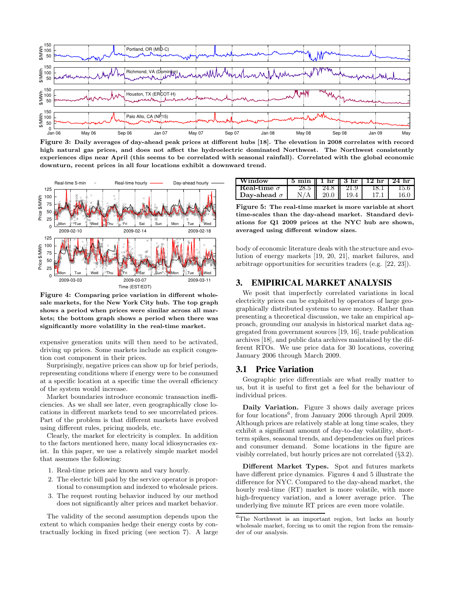

Figure 3: Daily averages of day-ahead peak prices at different hubs [18]. The elevation in 2008 correlates with record high natural gas prices, and does not affect the hydroelectric dominated Northwest. The Northwest consistently experiences dips near April (this seems to be correlated with seasonal rainfall). Correlated with the global economic downturn, recent prices in all four locations exhibit a downward trend.



Figure 4: Comparing price variation in different wholesale markets, for the New York City hub. The top graph shows a period when prices were similar across all markets; the bottom graph shows a period when there was significantly more volatility in the real-time market.

expensive generation units will then need to be activated, driving up prices. Some markets include an explicit congestion cost component in their prices.

Surprisingly, negative prices can show up for brief periods, representing conditions where if energy were to be consumed at a specific location at a specific time the overall efficiency of the system would increase.

Market boundaries introduce economic transaction inefficiencies. As we shall see later, even geographically close locations in different markets tend to see uncorrelated prices. Part of the problem is that different markets have evolved using different rules, pricing models, etc.

Clearly, the market for electricity is complex. In addition to the factors mentioned here, many local idiosyncrasies exist. In this paper, we use a relatively simple market model that assumes the following:

- 1. Real-time prices are known and vary hourly.
- 2. The electric bill paid by the service operator is proportional to consumption and indexed to wholesale prices.
- 3. The request routing behavior induced by our method does not significantly alter prices and market behavior.

The validity of the second assumption depends upon the extent to which companies hedge their energy costs by contractually locking in fixed pricing (see section 7). A large

| Window             |                     | 5 min    1 hr    3 hr   12 hr   24 hr |      |
|--------------------|---------------------|---------------------------------------|------|
| Real-time $\sigma$ | 28.5 1 24.8 1 21.9  |                                       |      |
| Day-ahead $\sigma$ | $N/A$   20.0   19.4 |                                       | 16.0 |

Figure 5: The real-time market is more variable at short time-scales than the day-ahead market. Standard deviations for Q1 2009 prices at the NYC hub are shown, averaged using different window sizes.

body of economic literature deals with the structure and evolution of energy markets [19, 20, 21], market failures, and arbitrage opportunities for securities traders (e.g. [22, 23]).

# **3. EMPIRICAL MARKET ANALYSIS**

We posit that imperfectly correlated variations in local electricity prices can be exploited by operators of large geographically distributed systems to save money. Rather than presenting a theoretical discussion, we take an empirical approach, grounding our analysis in historical market data aggregated from government sources [19, 16], trade publication archives [18], and public data archives maintained by the different RTOs. We use price data for 30 locations, covering January 2006 through March 2009.

#### **3.1 Price Variation**

Geographic price differentials are what really matter to us, but it is useful to first get a feel for the behaviour of individual prices.

Daily Variation. Figure 3 shows daily average prices for four locations<sup>6</sup>, from January 2006 through April 2009. Although prices are relatively stable at long time scales, they exhibit a significant amount of day-to-day volatility, shortterm spikes, seasonal trends, and dependencies on fuel prices and consumer demand. Some locations in the figure are visibly correlated, but hourly prices are not correlated (§3.2).

Different Market Types. Spot and futures markets have different price dynamics. Figures 4 and 5 illustrate the difference for NYC. Compared to the day-ahead market, the hourly real-time  $(RT)$  market is more volatile, with more high-frequency variation, and a lower average price. The underlying five minute RT prices are even more volatile.

<sup>6</sup>The Northwest is an important region, but lacks an hourly wholesale market, forcing us to omit the region from the remainder of our analysis.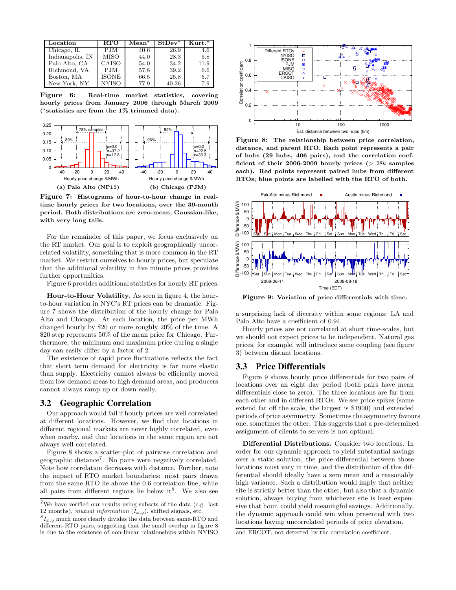| Location         | <b>RTO</b>   | $\mathrm{Mean}^*$ | $StDev^*$ | $Kurt.*$ |
|------------------|--------------|-------------------|-----------|----------|
| Chicago, IL      | P.JM         | 40.6              | 26.9      | 4.6      |
| Indianapolis, IN | <b>MISO</b>  | 44.0              | 28.3      | 5.8      |
| Palo Alto, CA    | CAISO        | 54.0              | 34.2      | 11.9     |
| Richmond, VA     | P.JM         | 57.8              | 39.2      | 6.6      |
| Boston, MA       | <b>ISONE</b> | 66.5              | 25.8      | 5.7      |
| New York, NY     | <b>NYISO</b> | 77.9              | 40.26     | 7.9      |

Figure 6: Real-time market statistics, covering hourly prices from January 2006 through March 2009 ( <sup>∗</sup>statistics are from the 1% trimmed data).



Figure 7: Histograms of hour-to-hour change in realtime hourly prices for two locations, over the 39-month period. Both distributions are zero-mean, Gaussian-like, with very long tails.

For the remainder of this paper, we focus exclusively on the RT market. Our goal is to exploit geographically uncorrelated volatility, something that is more common in the RT market. We restrict ourselves to hourly prices, but speculate that the additional volatility in five minute prices provides further opportunities.

Figure 6 provides additional statistics for hourly RT prices.

Hour-to-Hour Volatility. As seen in figure 4, the hourto-hour variation in NYC's RT prices can be dramatic. Figure 7 shows the distribution of the hourly change for Palo Alto and Chicago. At each location, the price per MWh changed hourly by \$20 or more roughly 20% of the time. A \$20 step represents 50% of the mean price for Chicago. Furthermore, the minimum and maximum price during a single day can easily differ by a factor of 2.

The existence of rapid price fluctuations reflects the fact that short term demand for electricity is far more elastic than supply. Electricity cannot always be efficiently moved from low demand areas to high demand areas, and producers cannot always ramp up or down easily.

#### **3.2 Geographic Correlation**

Our approach would fail if hourly prices are well correlated at different locations. However, we find that locations in different regional markets are never highly correlated, even when nearby, and that locations in the same region are not always well correlated.

Figure 8 shows a scatter-plot of pairwise correlation and geographic distance<sup>7</sup> . No pairs were negatively correlated. Note how correlation decreases with distance. Further, note the impact of RTO market boundaries: most pairs drawn from the same RTO lie above the 0.6 correlation line, while all pairs from different regions lie below it<sup>8</sup>. We also see



Figure 8: The relationship between price correlation, distance, and parent RTO. Each point represents a pair of hubs (29 hubs, 406 pairs), and the correlation coefficient of their 2006-2009 hourly prices ( $> 28k$  samples each). Red points represent paired hubs from different RTOs; blue points are labelled with the RTO of both.



Figure 9: Variation of price differentials with time.

a surprising lack of diversity within some regions: LA and Palo Alto have a coefficient of 0.94.

Hourly prices are not correlated at short time-scales, but we should not expect prices to be independent. Natural gas prices, for example, will introduce some coupling (see figure 3) between distant locations.

## **3.3 Price Differentials**

Figure 9 shows hourly price differentials for two pairs of locations over an eight day period (both pairs have mean differentials close to zero). The three locations are far from each other and in different RTOs. We see price spikes (some extend far off the scale, the largest is \$1900) and extended periods of price asymmetry. Sometimes the asymmetry favours one, sometimes the other. This suggests that a pre-determined assignment of clients to servers is not optimal.

Differential Distributions. Consider two locations. In order for our dynamic approach to yield substantial savings over a static solution, the price differential between those locations must vary in time, and the distribution of this differential should ideally have a zero mean and a reasonably high variance. Such a distribution would imply that neither site is strictly better than the other, but also that a dynamic solution, always buying from whichever site is least expensive that hour, could yield meaningful savings. Additionally, the dynamic approach could win when presented with two locations having uncorrelated periods of price elevation.

 ${\rm ^7We}$  have verified our results using subsets of the data (e.g. last 12 months), mutual information  $(I_{x,y})$ , shifted signals, etc.

 ${}^{8}I_{x,y}$  much more clearly divides the data between same-RTO and different-RTO pairs, suggesting that the small overlap in figure 8 is due to the existence of non-linear relationships within NYISO

and ERCOT, not detected by the correlation coefficient.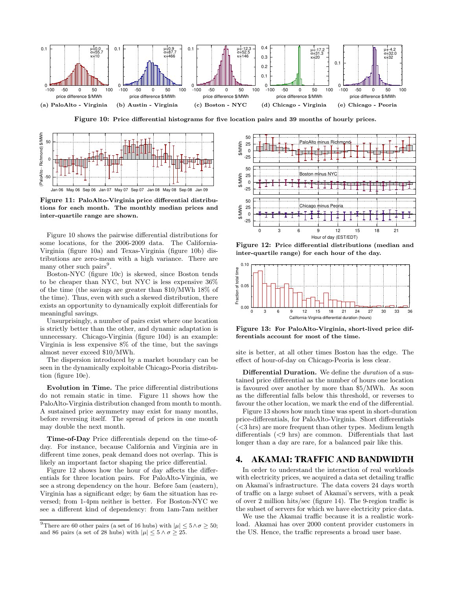

Figure 10: Price differential histograms for five location pairs and 39 months of hourly prices.



Figure 11: PaloAlto-Virginia price differential distributions for each month. The monthly median prices and inter-quartile range are shown.

Figure 10 shows the pairwise differential distributions for some locations, for the 2006-2009 data. The California-Virginia (figure 10a) and Texas-Virginia (figure 10b) distributions are zero-mean with a high variance. There are many other such pairs<sup>9</sup>.

Boston-NYC (figure 10c) is skewed, since Boston tends to be cheaper than NYC, but NYC is less expensive 36% of the time (the savings are greater than \$10/MWh 18% of the time). Thus, even with such a skewed distribution, there exists an opportunity to dynamically exploit differentials for meaningful savings.

Unsurprisingly, a number of pairs exist where one location is strictly better than the other, and dynamic adaptation is unnecessary. Chicago-Virginia (figure 10d) is an example: Virginia is less expensive 8% of the time, but the savings almost never exceed \$10/MWh.

The dispersion introduced by a market boundary can be seen in the dynamically exploitable Chicago-Peoria distribution (figure 10e).

Evolution in Time. The price differential distributions do not remain static in time. Figure 11 shows how the PaloAlto-Virginia distribution changed from month to month. A sustained price asymmetry may exist for many months, before reversing itself. The spread of prices in one month may double the next month.

Time-of-Day Price differentials depend on the time-ofday. For instance, because California and Virginia are in different time zones, peak demand does not overlap. This is likely an important factor shaping the price differential.

Figure 12 shows how the hour of day affects the differentials for three location pairs. For PaloAlto-Virginia, we see a strong dependency on the hour. Before 5am (eastern), Virginia has a significant edge; by 6am the situation has reversed; from 1-4pm neither is better. For Boston-NYC we see a different kind of dependency: from 1am-7am neither



Figure 12: Price differential distributions (median and inter-quartile range) for each hour of the day.



Figure 13: For PaloAlto-Virginia, short-lived price differentials account for most of the time.

site is better, at all other times Boston has the edge. The effect of hour-of-day on Chicago-Peoria is less clear.

Differential Duration. We define the duration of a sustained price differential as the number of hours one location is favoured over another by more than \$5/MWh. As soon as the differential falls below this threshold, or reverses to favour the other location, we mark the end of the differential.

Figure 13 shows how much time was spent in short-duration price-differentials, for PaloAlto-Virginia. Short differentials  $(<$ 3 hrs) are more frequent than other types. Medium length differentials (<9 hrs) are common. Differentials that last longer than a day are rare, for a balanced pair like this.

## **4. AKAMAI: TRAFFIC AND BANDWIDTH**

In order to understand the interaction of real workloads with electricity prices, we acquired a data set detailing traffic on Akamai's infrastructure. The data covers 24 days worth of traffic on a large subset of Akamai's servers, with a peak of over 2 million hits/sec (figure 14). The 9-region traffic is the subset of servers for which we have electricity price data.

We use the Akamai traffic because it is a realistic workload. Akamai has over 2000 content provider customers in the US. Hence, the traffic represents a broad user base.

<sup>&</sup>lt;sup>9</sup>There are 60 other pairs (a set of 16 hubs) with  $|\mu| \leq 5 \wedge \sigma \geq 50$ ; and 86 pairs (a set of 28 hubs) with  $|\mu| \leq 5 \land \sigma \geq 25$ .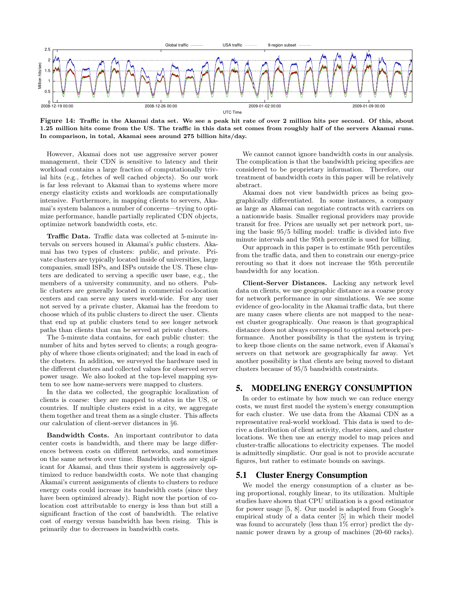

Figure 14: Traffic in the Akamai data set. We see a peak hit rate of over 2 million hits per second. Of this, about 1.25 million hits come from the US. The traffic in this data set comes from roughly half of the servers Akamai runs. In comparison, in total, Akamai sees around 275 billion hits/day.

However, Akamai does not use aggressive server power management, their CDN is sensitive to latency and their workload contains a large fraction of computationally trivial hits (e.g., fetches of well cached objects). So our work is far less relevant to Akamai than to systems where more energy elasticity exists and workloads are computationally intensive. Furthermore, in mapping clients to servers, Akamai's system balances a number of concerns—trying to optimize performance, handle partially replicated CDN objects, optimize network bandwidth costs, etc.

Traffic Data. Traffic data was collected at 5-minute intervals on servers housed in Akamai's public clusters. Akamai has two types of clusters: public, and private. Private clusters are typically located inside of universities, large companies, small ISPs, and ISPs outside the US. These clusters are dedicated to serving a specific user base, e.g., the members of a university community, and no others. Public clusters are generally located in commercial co-location centers and can serve any users world-wide. For any user not served by a private cluster, Akamai has the freedom to choose which of its public clusters to direct the user. Clients that end up at public clusters tend to see longer network paths than clients that can be served at private clusters.

The 5-minute data contains, for each public cluster: the number of hits and bytes served to clients; a rough geography of where those clients originated; and the load in each of the clusters. In addition, we surveyed the hardware used in the different clusters and collected values for observed server power usage. We also looked at the top-level mapping system to see how name-servers were mapped to clusters.

In the data we collected, the geographic localization of clients is coarse: they are mapped to states in the US, or countries. If multiple clusters exist in a city, we aggregate them together and treat them as a single cluster. This affects our calculation of client-server distances in §6.

Bandwidth Costs. An important contributor to data center costs is bandwidth, and there may be large differences between costs on different networks, and sometimes on the same network over time. Bandwidth costs are significant for Akamai, and thus their system is aggressively optimized to reduce bandwidth costs. We note that changing Akamai's current assignments of clients to clusters to reduce energy costs could increase its bandwidth costs (since they have been optimized already). Right now the portion of colocation cost attributable to energy is less than but still a significant fraction of the cost of bandwidth. The relative cost of energy versus bandwidth has been rising. This is primarily due to decreases in bandwidth costs.

We cannot cannot ignore bandwidth costs in our analysis. The complication is that the bandwidth pricing specifics are considered to be proprietary information. Therefore, our treatment of bandwidth costs in this paper will be relatively abstract.

Akamai does not view bandwidth prices as being geographically differentiated. In some instances, a company as large as Akamai can negotiate contracts with carriers on a nationwide basis. Smaller regional providers may provide transit for free. Prices are usually set per network port, using the basic 95/5 billing model: traffic is divided into five minute intervals and the 95th percentile is used for billing.

Our approach in this paper is to estimate 95th percentiles from the traffic data, and then to constrain our energy-price rerouting so that it does not increase the 95th percentile bandwidth for any location.

Client-Server Distances. Lacking any network level data on clients, we use geographic distance as a coarse proxy for network performance in our simulations. We see some evidence of geo-locality in the Akamai traffic data, but there are many cases where clients are not mapped to the nearest cluster geographically. One reason is that geographical distance does not always correspond to optimal network performance. Another possibility is that the system is trying to keep those clients on the same network, even if Akamai's servers on that network are geographically far away. Yet another possibility is that clients are being moved to distant clusters because of 95/5 bandwidth constraints.

## **5. MODELING ENERGY CONSUMPTION**

In order to estimate by how much we can reduce energy costs, we must first model the system's energy consumption for each cluster. We use data from the Akamai CDN as a representative real-world workload. This data is used to derive a distribution of client activity, cluster sizes, and cluster locations. We then use an energy model to map prices and cluster-traffic allocations to electricity expenses. The model is admittedly simplistic. Our goal is not to provide accurate figures, but rather to estimate bounds on savings.

# **5.1 Cluster Energy Consumption**

We model the energy consumption of a cluster as being proportional, roughly linear, to its utilization. Multiple studies have shown that CPU utilization is a good estimator for power usage [5, 8]. Our model is adapted from Google's empirical study of a data center [5] in which their model was found to accurately (less than 1% error) predict the dynamic power drawn by a group of machines (20-60 racks).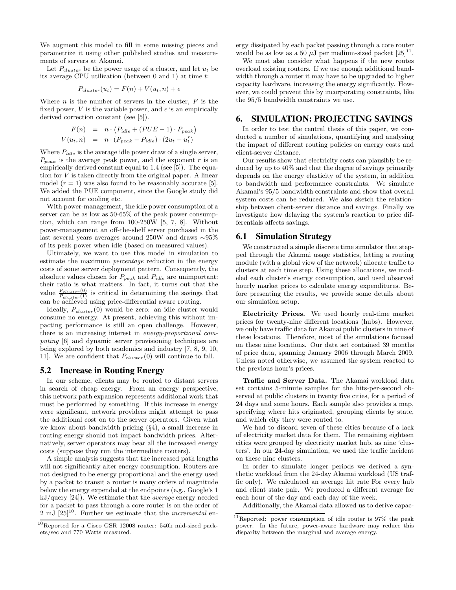We augment this model to fill in some missing pieces and parametrize it using other published studies and measurements of servers at Akamai.

Let  $P_{cluster}$  be the power usage of a cluster, and let  $u_t$  be its average CPU utilization (between 0 and 1) at time t:

$$
P_{cluster}(u_t) = F(n) + V(u_t, n) + \epsilon
$$

Where  $n$  is the number of servers in the cluster,  $F$  is the fixed power, V is the variable power, and  $\epsilon$  is an empirically derived correction constant (see [5]).

$$
F(n) = n \cdot (P_{idle} + (PUE - 1) \cdot P_{peak})
$$
  

$$
V(u_t, n) = n \cdot (P_{peak} - P_{idle}) \cdot (2u_t - u_t^r)
$$

Where  $P_{idle}$  is the average idle power draw of a single server,  $P_{peak}$  is the average peak power, and the exponent r is an empirically derived constant equal to 1.4 (see [5]). The equation for  $V$  is taken directly from the original paper. A linear model  $(r = 1)$  was also found to be reasonably accurate [5]. We added the PUE component, since the Google study did not account for cooling etc.

With power-management, the idle power consumption of a server can be as low as 50-65% of the peak power consumption, which can range from 100-250W [5, 7, 8]. Without power-management an off-the-shelf server purchased in the last several years averages around 250W and draws ∼95% of its peak power when idle (based on measured values).

Ultimately, we want to use this model in simulation to estimate the maximum percentage reduction in the energy costs of some server deployment pattern. Consequently, the absolute values chosen for  $P_{\it peak}$  and  $P_{idle}$  are unimportant: their ratio is what matters. In fact, it turns out that the value  $\frac{P_{cluster}(0)}{P_{cluster}(1)}$  is critical in determining the savings that can be achieved using price-differential aware routing.

Ideally,  $P_{cluster}(0)$  would be zero: an idle cluster would consume no energy. At present, achieving this without impacting performance is still an open challenge. However, there is an increasing interest in energy-proportional computing [6] and dynamic server provisioning techniques are being explored by both academics and industry [7, 8, 9, 10, 11]. We are confident that  $P_{cluster}(0)$  will continue to fall.

#### **5.2 Increase in Routing Energy**

In our scheme, clients may be routed to distant servers in search of cheap energy. From an energy perspective, this network path expansion represents additional work that must be performed by something. If this increase in energy were significant, network providers might attempt to pass the additional cost on to the server operators. Given what we know about bandwidth pricing (§4), a small increase in routing energy should not impact bandwidth prices. Alternatively, server operators may bear all the increased energy costs (suppose they run the intermediate routers).

A simple analysis suggests that the increased path lengths will not significantly alter energy consumption. Routers are not designed to be energy proportional and the energy used by a packet to transit a router is many orders of magnitude below the energy expended at the endpoints (e.g., Google's 1 kJ/query [24]). We estimate that the average energy needed for a packet to pass through a core router is on the order of 2 mJ  $[25]^{10}$ . Further we estimate that the *incremental* energy dissipated by each packet passing through a core router would be as low as a 50  $\mu$ J per medium-sized packet  $[25]^{11}$ .

We must also consider what happens if the new routes overload existing routers. If we use enough additional bandwidth through a router it may have to be upgraded to higher capacity hardware, increasing the energy significantly. However, we could prevent this by incorporating constraints, like the 95/5 bandwidth constraints we use.

# **6. SIMULATION: PROJECTING SAVINGS**

In order to test the central thesis of this paper, we conducted a number of simulations, quantifying and analysing the impact of different routing policies on energy costs and client-server distance.

Our results show that electricity costs can plausibly be reduced by up to 40% and that the degree of savings primarily depends on the energy elasticity of the system, in addition to bandwidth and performance constraints. We simulate Akamai's 95/5 bandwidth constraints and show that overall system costs can be reduced. We also sketch the relationship between client-server distance and savings. Finally we investigate how delaying the system's reaction to price differentials affects savings.

#### **6.1 Simulation Strategy**

We constructed a simple discrete time simulator that stepped through the Akamai usage statistics, letting a routing module (with a global view of the network) allocate traffic to clusters at each time step. Using these allocations, we modeled each cluster's energy consumption, and used observed hourly market prices to calculate energy expenditures. Before presenting the results, we provide some details about our simulation setup.

Electricity Prices. We used hourly real-time market prices for twenty-nine different locations (hubs). However, we only have traffic data for Akamai public clusters in nine of these locations. Therefore, most of the simulations focused on these nine locations. Our data set contained 39 months of price data, spanning January 2006 through March 2009. Unless noted otherwise, we assumed the system reacted to the previous hour's prices.

Traffic and Server Data. The Akamai workload data set contains 5-minute samples for the hits-per-second observed at public clusters in twenty five cities, for a period of 24 days and some hours. Each sample also provides a map, specifying where hits originated, grouping clients by state, and which city they were routed to.

We had to discard seven of these cities because of a lack of electricity market data for them. The remaining eighteen cities were grouped by electricity market hub, as nine 'clusters'. In our 24-day simulation, we used the traffic incident on these nine clusters.

In order to simulate longer periods we derived a synthetic workload from the 24-day Akamai workload (US traffic only). We calculated an average hit rate For every hub and client state pair. We produced a different average for each hour of the day and each day of the week.

Additionally, the Akamai data allowed us to derive capac-

 $^{10}$ Reported for a Cisco GSR 12008 router: 540k mid-sized packets/sec and 770 Watts measured.

 $11$ Reported: power consumption of idle router is 97% the peak power. In the future, power-aware hardware may reduce this disparity between the marginal and average energy.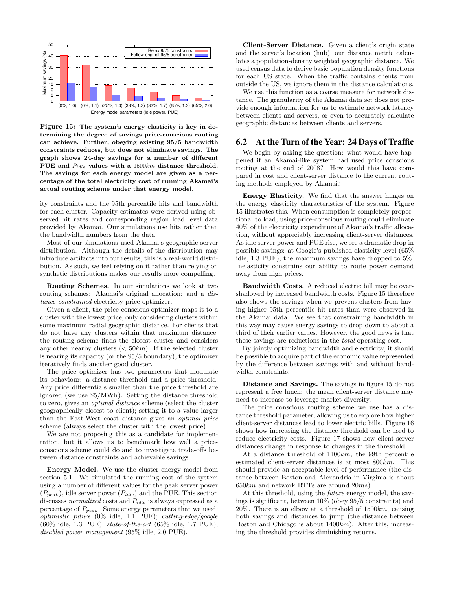

Figure 15: The system's energy elasticity is key in determining the degree of savings price-conscious routing can achieve. Further, obeying existing 95/5 bandwidth constraints reduces, but does not eliminate savings. The graph shows 24-day savings for a number of different PUE and  $P_{idle}$  values with a 1500 $km$  distance threshold. The savings for each energy model are given as a percentage of the total electricity cost of running Akamai's actual routing scheme under that energy model.

ity constraints and the 95th percentile hits and bandwidth for each cluster. Capacity estimates were derived using observed hit rates and corresponding region load level data provided by Akamai. Our simulations use hits rather than the bandwidth numbers from the data.

Most of our simulations used Akamai's geographic server distribution. Although the details of the distribution may introduce artifacts into our results, this is a real-world distribution. As such, we feel relying on it rather than relying on synthetic distributions makes our results more compelling.

Routing Schemes. In our simulations we look at two routing schemes: Akamai's original allocation; and a distance constrained electricity price optimizer.

Given a client, the price-conscious optimizer maps it to a cluster with the lowest price, only considering clusters within some maximum radial geographic distance. For clients that do not have any clusters within that maximum distance, the routing scheme finds the closest cluster and considers any other nearby clusters  $( $50km$ ). If the selected cluster$ is nearing its capacity (or the 95/5 boundary), the optimizer iteratively finds another good cluster.

The price optimizer has two parameters that modulate its behaviour: a distance threshold and a price threshold. Any price differentials smaller than the price threshold are ignored (we use \$5/MWh). Setting the distance threshold to zero, gives an optimal distance scheme (select the cluster geographically closest to client); setting it to a value larger than the East-West coast distance gives an optimal price scheme (always select the cluster with the lowest price).

We are not proposing this as a candidate for implementation, but it allows us to benchmark how well a priceconscious scheme could do and to investigate trade-offs between distance constraints and achievable savings.

Energy Model. We use the cluster energy model from section 5.1. We simulated the running cost of the system using a number of different values for the peak server power  $(P_{peak})$ , idle server power  $(P_{idle})$  and the PUE. This section discusses normalized costs and  $P_{idle}$  is always expressed as a percentage of  $P_{peak}$ . Some energy parameters that we used: optimistic future (0% idle, 1.1 PUE); cutting-edge/google (60% idle, 1.3 PUE); state-of-the-art (65% idle, 1.7 PUE); disabled power management (95% idle, 2.0 PUE).

Client-Server Distance. Given a client's origin state and the server's location (hub), our distance metric calculates a population-density weighted geographic distance. We used census data to derive basic population density functions for each US state. When the traffic contains clients from outside the US, we ignore them in the distance calculations.

We use this function as a coarse measure for network distance. The granularity of the Akamai data set does not provide enough information for us to estimate network latency between clients and servers, or even to accurately calculate geographic distances between clients and servers.

## **6.2 At the Turn of the Year: 24 Days of Traffic**

We begin by asking the question: what would have happened if an Akamai-like system had used price conscious routing at the end of 2008? How would this have compared in cost and client-server distance to the current routing methods employed by Akamai?

Energy Elasticity. We find that the answer hinges on the energy elasticity characteristics of the system. Figure 15 illustrates this. When consumption is completely proportional to load, using price-conscious routing could eliminate 40% of the electricity expenditure of Akamai's traffic allocation, without appreciably increasing client-server distances. As idle server power and PUE rise, we see a dramatic drop in possible savings: at Google's published elasticity level (65% idle, 1.3 PUE), the maximum savings have dropped to 5%. Inelasticity constrains our ability to route power demand away from high prices.

Bandwidth Costs. A reduced electric bill may be overshadowed by increased bandwidth costs. Figure 15 therefore also shows the savings when we prevent clusters from having higher 95th percentile hit rates than were observed in the Akamai data. We see that constraining bandwidth in this way may cause energy savings to drop down to about a third of their earlier values. However, the good news is that these savings are reductions in the total operating cost.

By jointly optimizing bandwidth and electricity, it should be possible to acquire part of the economic value represented by the difference between savings with and without bandwidth constraints.

Distance and Savings. The savings in figure 15 do not represent a free lunch: the mean client-server distance may need to increase to leverage market diversity.

The price conscious routing scheme we use has a distance threshold parameter, allowing us to explore how higher client-server distances lead to lower electric bills. Figure 16 shows how increasing the distance threshold can be used to reduce electricity costs. Figure 17 shows how client-server distances change in response to changes in the threshold.

At a distance threshold of 1100km, the 99th percentile estimated client-server distances is at most 800km. This should provide an acceptable level of performance (the distance between Boston and Alexandria in Virginia is about 650km and network RTTs are around 20ms).

At this threshold, using the future energy model, the savings is significant, between 10% (obey 95/5 constraints) and 20%. There is an elbow at a threshold of  $1500km$ , causing both savings and distances to jump (the distance between Boston and Chicago is about  $1400km$ ). After this, increasing the threshold provides diminishing returns.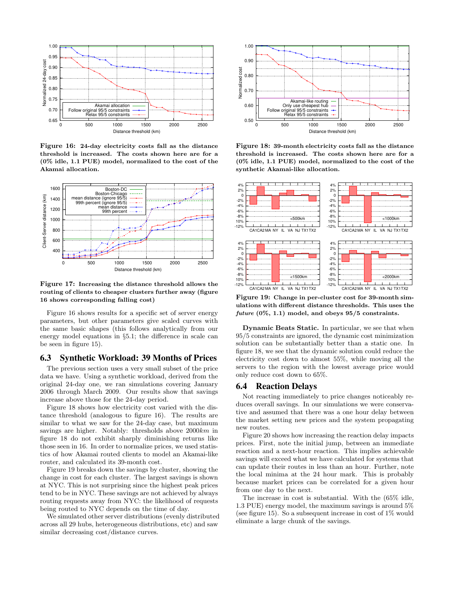

Figure 16: 24-day electricity costs fall as the distance threshold is increased. The costs shown here are for a (0% idle, 1.1 PUE) model, normalized to the cost of the Akamai allocation.



Figure 17: Increasing the distance threshold allows the routing of clients to cheaper clusters further away (figure 16 shows corresponding falling cost)

Figure 16 shows results for a specific set of server energy parameters, but other parameters give scaled curves with the same basic shapes (this follows analytically from our energy model equations in §5.1; the difference in scale can be seen in figure 15).

# **6.3 Synthetic Workload: 39 Months of Prices**

The previous section uses a very small subset of the price data we have. Using a synthetic workload, derived from the original 24-day one, we ran simulations covering January 2006 through March 2009. Our results show that savings increase above those for the 24-day period.

Figure 18 shows how electricity cost varied with the distance threshold (analogous to figure 16). The results are similar to what we saw for the 24-day case, but maximum savings are higher. Notably: thresholds above  $2000km$  in figure 18 do not exhibit sharply diminishing returns like those seen in 16. In order to normalize prices, we used statistics of how Akamai routed clients to model an Akamai-like router, and calculated its 39-month cost.

Figure 19 breaks down the savings by cluster, showing the change in cost for each cluster. The largest savings is shown at NYC. This is not surprising since the highest peak prices tend to be in NYC. These savings are not achieved by always routing requests away from NYC: the likelihood of requests being routed to NYC depends on the time of day.

We simulated other server distributions (evenly distributed across all 29 hubs, heterogeneous distributions, etc) and saw similar decreasing cost/distance curves.



Figure 18: 39-month electricity costs fall as the distance threshold is increased. The costs shown here are for a (0% idle, 1.1 PUE) model, normalized to the cost of the synthetic Akamai-like allocation.



Figure 19: Change in per-cluster cost for 39-month simulations with different distance thresholds. This uses the future  $(0\%, 1.1)$  model, and obeys  $95/5$  constraints.

Dynamic Beats Static. In particular, we see that when 95/5 constraints are ignored, the dynamic cost minimization solution can be substantially better than a static one. In figure 18, we see that the dynamic solution could reduce the electricity cost down to almost 55%, while moving all the servers to the region with the lowest average price would only reduce cost down to 65%.

#### **6.4 Reaction Delays**

Not reacting immediately to price changes noticeably reduces overall savings. In our simulations we were conservative and assumed that there was a one hour delay between the market setting new prices and the system propagating new routes.

Figure 20 shows how increasing the reaction delay impacts prices. First, note the initial jump, between an immediate reaction and a next-hour reaction. This implies achievable savings will exceed what we have calculated for systems that can update their routes in less than an hour. Further, note the local minima at the 24 hour mark. This is probably because market prices can be correlated for a given hour from one day to the next.

The increase in cost is substantial. With the (65% idle, 1.3 PUE) energy model, the maximum savings is around 5% (see figure 15). So a subsequent increase in cost of 1% would eliminate a large chunk of the savings.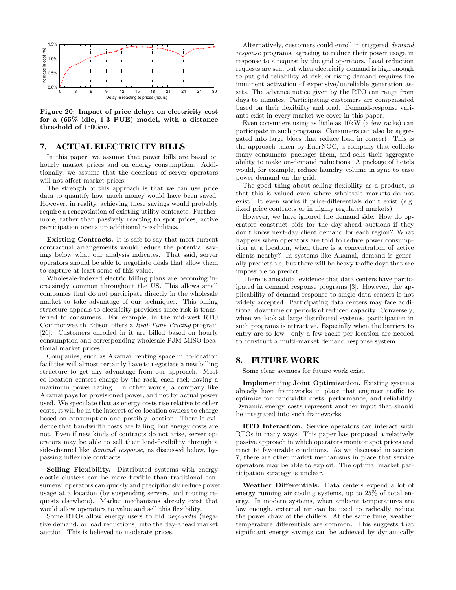

Figure 20: Impact of price delays on electricity cost for a (65% idle, 1.3 PUE) model, with a distance threshold of 1500km.

# **7. ACTUAL ELECTRICITY BILLS**

In this paper, we assume that power bills are based on hourly market prices and on energy consumption. Additionally, we assume that the decisions of server operators will not affect market prices.

The strength of this approach is that we can use price data to quantify how much money would have been saved. However, in reality, achieving these savings would probably require a renegotiation of existing utility contracts. Furthermore, rather than passively reacting to spot prices, active participation opens up additional possibilities.

Existing Contracts. It is safe to say that most current contractual arrangements would reduce the potential savings below what our analysis indicates. That said, server operators should be able to negotiate deals that allow them to capture at least some of this value.

Wholesale-indexed electric billing plans are becoming increasingly common throughout the US. This allows small companies that do not participate directly in the wholesale market to take advantage of our techniques. This billing structure appeals to electricity providers since risk is transferred to consumers. For example, in the mid-west RTO Commonwealth Edison offers a Real-Time Pricing program [26]. Customers enrolled in it are billed based on hourly consumption and corresponding wholesale PJM-MISO locational market prices.

Companies, such as Akamai, renting space in co-location facilities will almost certainly have to negotiate a new billing structure to get any advantage from our approach. Most co-location centers charge by the rack, each rack having a maximum power rating. In other words, a company like Akamai pays for provisioned power, and not for actual power used. We speculate that as energy costs rise relative to other costs, it will be in the interest of co-location owners to charge based on consumption and possibly location. There is evidence that bandwidth costs are falling, but energy costs are not. Even if new kinds of contracts do not arise, server operators may be able to sell their load-flexibility through a side-channel like demand response, as discussed below, bypassing inflexible contracts.

Selling Flexibility. Distributed systems with energy elastic clusters can be more flexible than traditional consumers: operators can quickly and precipitously reduce power usage at a location (by suspending servers, and routing requests elsewhere). Market mechanisms already exist that would allow operators to value and sell this flexibility.

Some RTOs allow energy users to bid *negawatts* (negative demand, or load reductions) into the day-ahead market auction. This is believed to moderate prices.

Alternatively, customers could enroll in triggered demand response programs, agreeing to reduce their power usage in response to a request by the grid operators. Load reduction requests are sent out when electricity demand is high enough to put grid reliability at risk, or rising demand requires the imminent activation of expensive/unreliable generation assets. The advance notice given by the RTO can range from days to minutes. Participating customers are compensated based on their flexibility and load. Demand-response variants exist in every market we cover in this paper.

Even consumers using as little as 10kW (a few racks) can participate in such programs. Consumers can also be aggregated into large blocs that reduce load in concert. This is the approach taken by EnerNOC, a company that collects many consumers, packages them, and sells their aggregate ability to make on-demand reductions. A package of hotels would, for example, reduce laundry volume in sync to ease power demand on the grid.

The good thing about selling flexibility as a product, is that this is valued even where wholesale markets do not exist. It even works if price-differentials don't exist (e.g. fixed price contracts or in highly regulated markets).

However, we have ignored the demand side. How do operators construct bids for the day-ahead auctions if they don't know next-day client demand for each region? What happens when operators are told to reduce power consumption at a location, when there is a concentration of active clients nearby? In systems like Akamai, demand is generally predictable, but there will be heavy traffic days that are impossible to predict.

There is anecdotal evidence that data centers have participated in demand response programs [3]. However, the applicability of demand response to single data centers is not widely accepted. Participating data centers may face additional downtime or periods of reduced capacity. Conversely, when we look at large distributed systems, participation in such programs is attractive. Especially when the barriers to entry are so low—only a few racks per location are needed to construct a multi-market demand response system.

# **8. FUTURE WORK**

Some clear avenues for future work exist.

Implementing Joint Optimization. Existing systems already have frameworks in place that engineer traffic to optimize for bandwidth costs, performance, and reliability. Dynamic energy costs represent another input that should be integrated into such frameworks.

RTO Interaction. Service operators can interact with RTOs in many ways. This paper has proposed a relatively passive approach in which operators monitor spot prices and react to favourable conditions. As we discussed in section 7, there are other market mechanisms in place that service operators may be able to exploit. The optimal market participation strategy is unclear.

Weather Differentials. Data centers expend a lot of energy running air cooling systems, up to 25% of total energy. In modern systems, when ambient temperatures are low enough, external air can be used to radically reduce the power draw of the chillers. At the same time, weather temperature differentials are common. This suggests that significant energy savings can be achieved by dynamically